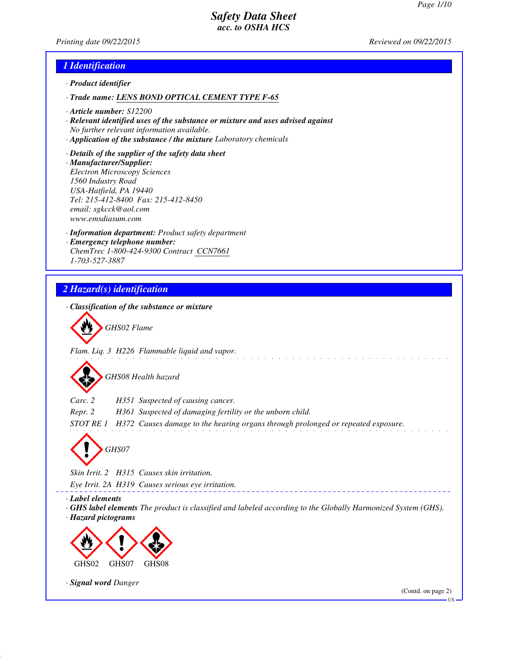*Printing date 09/22/2015 Reviewed on 09/22/2015*

## *1 Identification*

- *· Product identifier*
- *· Trade name: LENS BOND OPTICAL CEMENT TYPE F-65*
- *· Article number: S12200*
- *· Relevant identified uses of the substance or mixture and uses advised against No further relevant information available.*
- *· Application of the substance / the mixture Laboratory chemicals*
- *· Details of the supplier of the safety data sheet · Manufacturer/Supplier: Electron Microscopy Sciences 1560 Industry Road USA-Hatfield, PA 19440 Tel: 215-412-8400 Fax: 215-412-8450 email: sgkcck@aol.com www.emsdiasum.com*
- *· Information department: Product safety department · Emergency telephone number: ChemTrec 1-800-424-9300 Contract CCN7661 1-703-527-3887*

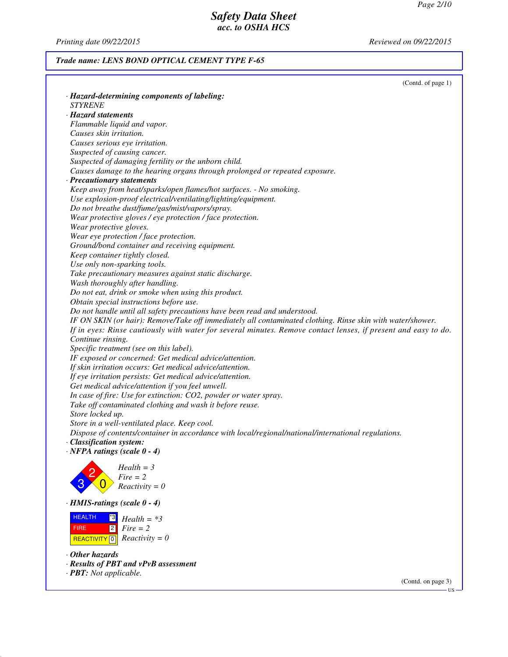*Printing date 09/22/2015 Reviewed on 09/22/2015*

# *Trade name: LENS BOND OPTICAL CEMENT TYPE F-65*

|                                                                                                                | (Contd. of page 1) |
|----------------------------------------------------------------------------------------------------------------|--------------------|
| · Hazard-determining components of labeling:                                                                   |                    |
| <b>STYRENE</b>                                                                                                 |                    |
| · Hazard statements                                                                                            |                    |
| Flammable liquid and vapor.                                                                                    |                    |
| Causes skin irritation.                                                                                        |                    |
| Causes serious eye irritation.                                                                                 |                    |
| Suspected of causing cancer.                                                                                   |                    |
| Suspected of damaging fertility or the unborn child.                                                           |                    |
| Causes damage to the hearing organs through prolonged or repeated exposure.                                    |                    |
| · Precautionary statements                                                                                     |                    |
| Keep away from heat/sparks/open flames/hot surfaces. - No smoking.                                             |                    |
| Use explosion-proof electrical/ventilating/lighting/equipment.                                                 |                    |
| Do not breathe dust/fume/gas/mist/vapors/spray.                                                                |                    |
| Wear protective gloves / eye protection / face protection.                                                     |                    |
| Wear protective gloves.                                                                                        |                    |
| Wear eye protection / face protection.                                                                         |                    |
| Ground/bond container and receiving equipment.                                                                 |                    |
| Keep container tightly closed.                                                                                 |                    |
| Use only non-sparking tools.                                                                                   |                    |
| Take precautionary measures against static discharge.                                                          |                    |
| Wash thoroughly after handling.                                                                                |                    |
| Do not eat, drink or smoke when using this product.                                                            |                    |
| Obtain special instructions before use.                                                                        |                    |
| Do not handle until all safety precautions have been read and understood.                                      |                    |
| IF ON SKIN (or hair): Remove/Take off immediately all contaminated clothing. Rinse skin with water/shower.     |                    |
| If in eyes: Rinse cautiously with water for several minutes. Remove contact lenses, if present and easy to do. |                    |
| Continue rinsing.                                                                                              |                    |
| Specific treatment (see on this label).                                                                        |                    |
| IF exposed or concerned: Get medical advice/attention.                                                         |                    |
| If skin irritation occurs: Get medical advice/attention.                                                       |                    |
| If eye irritation persists: Get medical advice/attention.                                                      |                    |
| Get medical advice/attention if you feel unwell.                                                               |                    |
| In case of fire: Use for extinction: CO2, powder or water spray.                                               |                    |
| Take off contaminated clothing and wash it before reuse.                                                       |                    |
| Store locked up.                                                                                               |                    |
| Store in a well-ventilated place. Keep cool.                                                                   |                    |
| Dispose of contents/container in accordance with local/regional/national/international regulations.            |                    |
| · Classification system:                                                                                       |                    |
| $\cdot$ NFPA ratings (scale $0 - 4$ )                                                                          |                    |
| $Health = 3$                                                                                                   |                    |
| $Fire = 2$                                                                                                     |                    |
| $Reactivity = 0$                                                                                               |                    |
|                                                                                                                |                    |
| $\cdot$ HMIS-ratings (scale 0 - 4)                                                                             |                    |
| <b>HEALTH</b><br>*3 <mark> </mark><br>$Health = *3$                                                            |                    |
| 2 <br>$Fire = 2$<br><b>FIRE</b>                                                                                |                    |
| $Reactivity = 0$<br><b>REACTIVITY</b> 0                                                                        |                    |
|                                                                                                                |                    |
| $\cdot$ Other hazards                                                                                          |                    |
| · Results of PBT and vPvB assessment                                                                           |                    |
| · <b>PBT</b> : Not applicable.                                                                                 |                    |

(Contd. on page 3)

US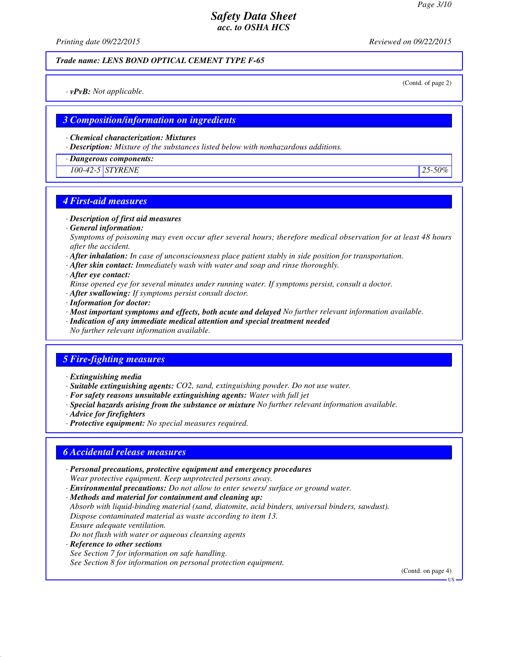*Printing date 09/22/2015 Reviewed on 09/22/2015*

#### *Trade name: LENS BOND OPTICAL CEMENT TYPE F-65*

(Contd. of page 2)

*· vPvB: Not applicable.*

## *3 Composition/information on ingredients*

*· Chemical characterization: Mixtures*

*· Description: Mixture of the substances listed below with nonhazardous additions.*

*· Dangerous components:*

*100-42-5 STYRENE 25-50%*

# *4 First-aid measures*

- *· Description of first aid measures*
- *· General information:*

*Symptoms of poisoning may even occur after several hours; therefore medical observation for at least 48 hours after the accident.*

- *· After inhalation: In case of unconsciousness place patient stably in side position for transportation.*
- *· After skin contact: Immediately wash with water and soap and rinse thoroughly.*
- *· After eye contact:*
- *Rinse opened eye for several minutes under running water. If symptoms persist, consult a doctor.*
- *· After swallowing: If symptoms persist consult doctor.*
- *· Information for doctor:*
- *· Most important symptoms and effects, both acute and delayed No further relevant information available.*
- *· Indication of any immediate medical attention and special treatment needed*
- *No further relevant information available.*

## *5 Fire-fighting measures*

- *· Extinguishing media*
- *· Suitable extinguishing agents: CO2, sand, extinguishing powder. Do not use water.*
- *· For safety reasons unsuitable extinguishing agents: Water with full jet*
- *· Special hazards arising from the substance or mixture No further relevant information available.*
- *· Advice for firefighters*
- *· Protective equipment: No special measures required.*

## *6 Accidental release measures*

- *· Personal precautions, protective equipment and emergency procedures Wear protective equipment. Keep unprotected persons away.*
- *· Environmental precautions: Do not allow to enter sewers/ surface or ground water.*
- *· Methods and material for containment and cleaning up:*

*Absorb with liquid-binding material (sand, diatomite, acid binders, universal binders, sawdust). Dispose contaminated material as waste according to item 13. Ensure adequate ventilation.*

- *Do not flush with water or aqueous cleansing agents*
- *· Reference to other sections*

*See Section 7 for information on safe handling.*

*See Section 8 for information on personal protection equipment.*

(Contd. on page 4)

**HS**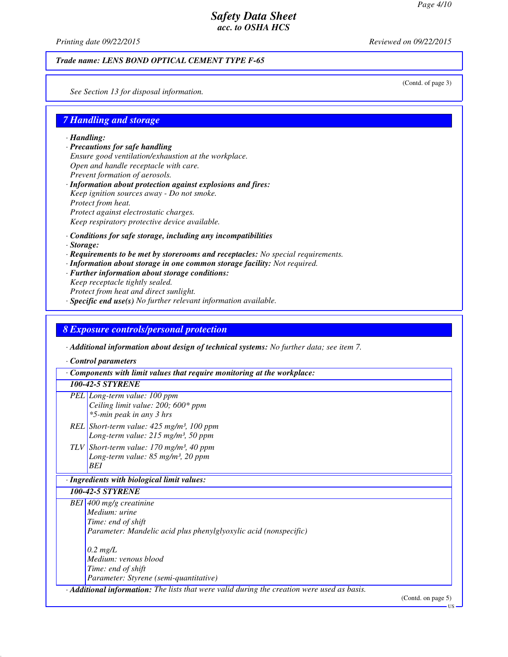*Printing date 09/22/2015 Reviewed on 09/22/2015*

#### *Trade name: LENS BOND OPTICAL CEMENT TYPE F-65*

(Contd. of page 3)

*See Section 13 for disposal information.*

## *7 Handling and storage*

*· Handling:*

- *· Precautions for safe handling Ensure good ventilation/exhaustion at the workplace. Open and handle receptacle with care. Prevent formation of aerosols. · Information about protection against explosions and fires:*
- *Keep ignition sources away Do not smoke. Protect from heat. Protect against electrostatic charges. Keep respiratory protective device available.*
- *· Conditions for safe storage, including any incompatibilities*
- *· Storage:*
- *· Requirements to be met by storerooms and receptacles: No special requirements.*
- *· Information about storage in one common storage facility: Not required.*
- *· Further information about storage conditions:*
- *Keep receptacle tightly sealed. Protect from heat and direct sunlight. · Specific end use(s) No further relevant information available.*

## *8 Exposure controls/personal protection*

*· Additional information about design of technical systems: No further data; see item 7.*

*· Control parameters*

*· Components with limit values that require monitoring at the workplace:*

#### *100-42-5 STYRENE*

- *PEL Long-term value: 100 ppm Ceiling limit value: 200; 600\* ppm \*5-min peak in any 3 hrs*
- *REL Short-term value: 425 mg/m³, 100 ppm Long-term value: 215 mg/m³, 50 ppm*
- *TLV Short-term value: 170 mg/m³, 40 ppm Long-term value: 85 mg/m³, 20 ppm BEI*

#### *· Ingredients with biological limit values:*

*100-42-5 STYRENE*

*BEI 400 mg/g creatinine Medium: urine Time: end of shift Parameter: Mandelic acid plus phenylglyoxylic acid (nonspecific) 0.2 mg/L Medium: venous blood*

*Time: end of shift Parameter: Styrene (semi-quantitative)*

*· Additional information: The lists that were valid during the creation were used as basis.*

(Contd. on page 5)

US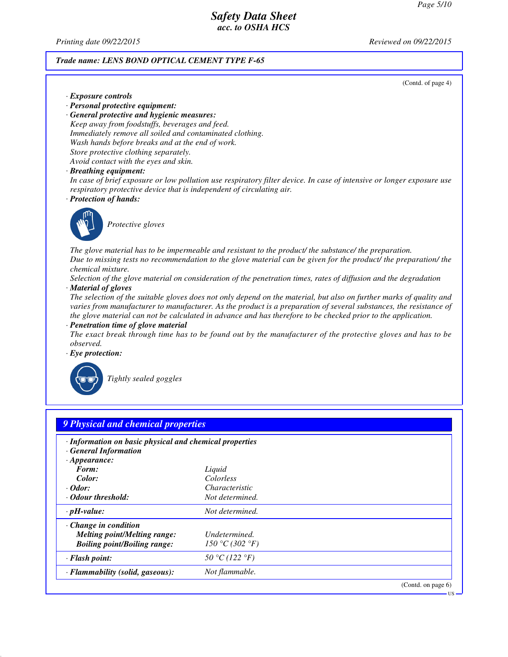*Printing date 09/22/2015 Reviewed on 09/22/2015*

#### *Trade name: LENS BOND OPTICAL CEMENT TYPE F-65*

(Contd. of page 4)

US

- *· Exposure controls*
- *· Personal protective equipment:*

*· General protective and hygienic measures: Keep away from foodstuffs, beverages and feed. Immediately remove all soiled and contaminated clothing. Wash hands before breaks and at the end of work. Store protective clothing separately. Avoid contact with the eyes and skin.*

*· Breathing equipment:*

*In case of brief exposure or low pollution use respiratory filter device. In case of intensive or longer exposure use respiratory protective device that is independent of circulating air.*

*· Protection of hands:*



*Protective gloves*

*The glove material has to be impermeable and resistant to the product/ the substance/ the preparation. Due to missing tests no recommendation to the glove material can be given for the product/ the preparation/ the chemical mixture.*

*Selection of the glove material on consideration of the penetration times, rates of diffusion and the degradation · Material of gloves*

*The selection of the suitable gloves does not only depend on the material, but also on further marks of quality and varies from manufacturer to manufacturer. As the product is a preparation of several substances, the resistance of the glove material can not be calculated in advance and has therefore to be checked prior to the application.*

*· Penetration time of glove material*

*The exact break through time has to be found out by the manufacturer of the protective gloves and has to be observed.*

*· Eye protection:*



*Tightly sealed goggles*

| · Information on basic physical and chemical properties<br><b>General Information</b> |                 |  |
|---------------------------------------------------------------------------------------|-----------------|--|
| $\cdot$ Appearance:                                                                   |                 |  |
| Form:                                                                                 | Liquid          |  |
| Color:                                                                                | Colorless       |  |
| $\cdot$ Odor:                                                                         | Characteristic  |  |
| · Odour threshold:                                                                    | Not determined. |  |
| $\cdot$ pH-value:                                                                     | Not determined. |  |
| $\cdot$ Change in condition                                                           |                 |  |
| <b>Melting point/Melting range:</b>                                                   | Undetermined.   |  |
| <b>Boiling point/Boiling range:</b>                                                   | 150 °C (302 °F) |  |
| · Flash point:                                                                        | 50 °C (122 °F)  |  |
| · Flammability (solid, gaseous):                                                      | Not flammable.  |  |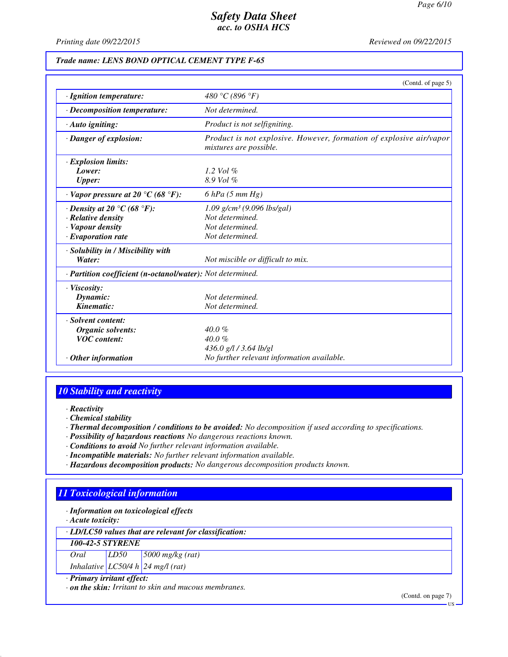*Printing date 09/22/2015 Reviewed on 09/22/2015*

#### *Trade name: LENS BOND OPTICAL CEMENT TYPE F-65*

|                                                            | (Contd. of page 5)                                                                            |
|------------------------------------------------------------|-----------------------------------------------------------------------------------------------|
| · Ignition temperature:                                    | 480 °C (896 °F)                                                                               |
| $\cdot$ Decomposition temperature:                         | Not determined.                                                                               |
| $\cdot$ Auto igniting:                                     | Product is not selfigniting.                                                                  |
| · Danger of explosion:                                     | Product is not explosive. However, formation of explosive air/vapor<br>mixtures are possible. |
| · Explosion limits:                                        |                                                                                               |
| Lower:                                                     | 1.2 Vol $\%$                                                                                  |
| <b>Upper:</b>                                              | 8.9 Vol %                                                                                     |
| $\cdot$ Vapor pressure at 20 °C (68 °F):                   | $6$ hPa $(5$ mm Hg)                                                                           |
| $\cdot$ Density at 20 $\degree$ C (68 $\degree$ F):        | $1.09$ g/cm <sup>3</sup> (9.096 lbs/gal)                                                      |
| $\cdot$ Relative density                                   | Not determined.                                                                               |
| · Vapour density                                           | Not determined.                                                                               |
| $\cdot$ Evaporation rate                                   | Not determined.                                                                               |
| · Solubility in / Miscibility with                         |                                                                                               |
| Water:                                                     | Not miscible or difficult to mix.                                                             |
| · Partition coefficient (n-octanol/water): Not determined. |                                                                                               |
| · Viscosity:                                               |                                                                                               |
| Dynamic:                                                   | Not determined.                                                                               |
| Kinematic:                                                 | Not determined.                                                                               |
| · Solvent content:                                         |                                                                                               |
| Organic solvents:                                          | $40.0\%$                                                                                      |
| <b>VOC</b> content:                                        | $40.0 \%$                                                                                     |
|                                                            | 436.0 g/l / 3.64 lb/gl                                                                        |
| $\cdot$ Other information                                  | No further relevant information available.                                                    |

## *10 Stability and reactivity*

- *· Reactivity*
- *· Chemical stability*
- *· Thermal decomposition / conditions to be avoided: No decomposition if used according to specifications.*
- *· Possibility of hazardous reactions No dangerous reactions known.*
- *· Conditions to avoid No further relevant information available.*
- *· Incompatible materials: No further relevant information available.*
- *· Hazardous decomposition products: No dangerous decomposition products known.*

# *11 Toxicological information*

*· Information on toxicological effects*

*· Acute toxicity:*

*· LD/LC50 values that are relevant for classification:*

*100-42-5 STYRENE*

| Oral | LD50      | $\frac{5000}{\text{mg/kg}}$ (rat) |
|------|-----------|-----------------------------------|
|      | TCT011121 |                                   |

*Inhalative LC50/4 h 24 mg/l (rat)*

# *· Primary irritant effect:*

*· on the skin: Irritant to skin and mucous membranes.*

(Contd. on page 7)

US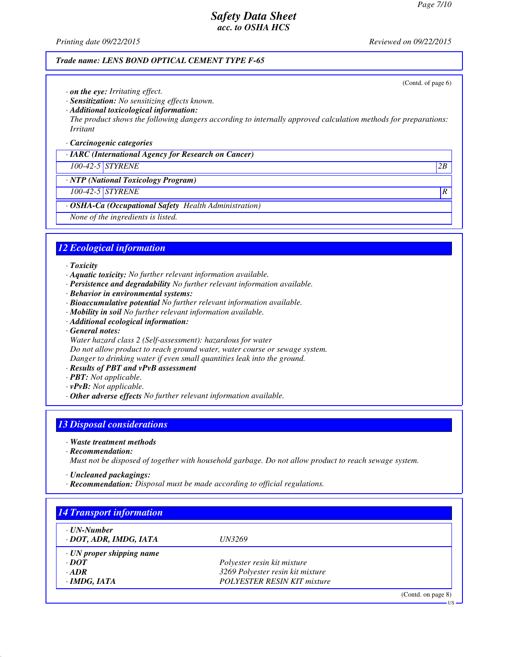(Contd. of page 6)

US

# *Safety Data Sheet acc. to OSHA HCS*

*Printing date 09/22/2015 Reviewed on 09/22/2015*

### *Trade name: LENS BOND OPTICAL CEMENT TYPE F-65*

- *· on the eye: Irritating effect.*
- *· Sensitization: No sensitizing effects known.*
- *· Additional toxicological information:*
- *The product shows the following dangers according to internally approved calculation methods for preparations: Irritant*

#### *· Carcinogenic categories*

*· IARC (International Agency for Research on Cancer)*

#### *100-42-5 STYRENE 2B*

*· NTP (National Toxicology Program)*

# *100-42-5 STYRENE R*

- *· OSHA-Ca (Occupational Safety Health Administration)*
- *None of the ingredients is listed.*

## *12 Ecological information*

#### *· Toxicity*

- *· Aquatic toxicity: No further relevant information available.*
- *· Persistence and degradability No further relevant information available.*
- *· Behavior in environmental systems:*
- *· Bioaccumulative potential No further relevant information available.*
- *· Mobility in soil No further relevant information available.*
- *· Additional ecological information:*
- *· General notes:*
- *Water hazard class 2 (Self-assessment): hazardous for water*

*Do not allow product to reach ground water, water course or sewage system.*

*Danger to drinking water if even small quantities leak into the ground.*

- *· Results of PBT and vPvB assessment*
- *· PBT: Not applicable.*
- *· vPvB: Not applicable.*
- *· Other adverse effects No further relevant information available.*

# *13 Disposal considerations*

- *· Waste treatment methods*
- *· Recommendation:*

*Must not be disposed of together with household garbage. Do not allow product to reach sewage system.*

- *· Uncleaned packagings:*
- *· Recommendation: Disposal must be made according to official regulations.*

| · UN-Number                     |                                    |  |
|---------------------------------|------------------------------------|--|
| · DOT, ADR, IMDG, IATA          | <i>UN3269</i>                      |  |
| $\cdot$ UN proper shipping name |                                    |  |
| $\cdot$ DOT                     | Polyester resin kit mixture        |  |
| $\cdot$ ADR                     | 3269 Polyester resin kit mixture   |  |
| · IMDG, IATA                    | <b>POLYESTER RESIN KIT mixture</b> |  |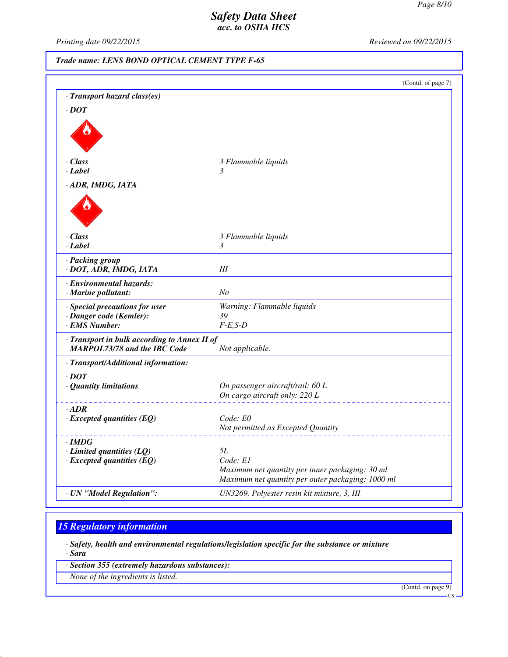*Printing date 09/22/2015 Reviewed on 09/22/2015*

*Trade name: LENS BOND OPTICAL CEMENT TYPE F-65*

|                                                 | (Contd. of page 7)                                |
|-------------------------------------------------|---------------------------------------------------|
| · Transport hazard class(es)                    |                                                   |
| $\cdot$ DOT                                     |                                                   |
|                                                 |                                                   |
| · Class                                         | 3 Flammable liquids                               |
| $\cdot$ Label                                   | $\mathfrak{Z}$                                    |
| · ADR, IMDG, IATA                               |                                                   |
|                                                 |                                                   |
| $\cdot$ Class                                   | 3 Flammable liquids                               |
| · Label                                         | 3                                                 |
| · Packing group<br>· DOT, ADR, IMDG, IATA       | Ш                                                 |
| · Environmental hazards:<br>· Marine pollutant: | No                                                |
| · Special precautions for user                  | Warning: Flammable liquids                        |
| · Danger code (Kemler):                         | 39                                                |
| $\cdot$ EMS Number:                             | $F-E,S-D$                                         |
| · Transport in bulk according to Annex II of    |                                                   |
| <b>MARPOL73/78 and the IBC Code</b>             | Not applicable.                                   |
| · Transport/Additional information:             |                                                   |
| $\cdot$ <i>DOT</i>                              |                                                   |
| · Quantity limitations                          | On passenger aircraft/rail: 60 L                  |
|                                                 | On cargo aircraft only: 220 L                     |
| $-ADR$                                          |                                                   |
| $\cdot$ Excepted quantities (EQ)                | Code: E0                                          |
|                                                 | Not permitted as Excepted Quantity                |
| $\cdot$ IMDG                                    |                                                   |
| $\cdot$ Limited quantities (LQ)                 | 5L                                                |
| $\cdot$ Excepted quantities (EQ)                | Code: E1                                          |
|                                                 | Maximum net quantity per inner packaging: 30 ml   |
|                                                 | Maximum net quantity per outer packaging: 1000 ml |
| · UN "Model Regulation":                        | UN3269, Polyester resin kit mixture, 3, III       |

# *15 Regulatory information*

*· Safety, health and environmental regulations/legislation specific for the substance or mixture*

*· Sara*

*· Section 355 (extremely hazardous substances):*

*None of the ingredients is listed.*

(Contd. on page 9)

US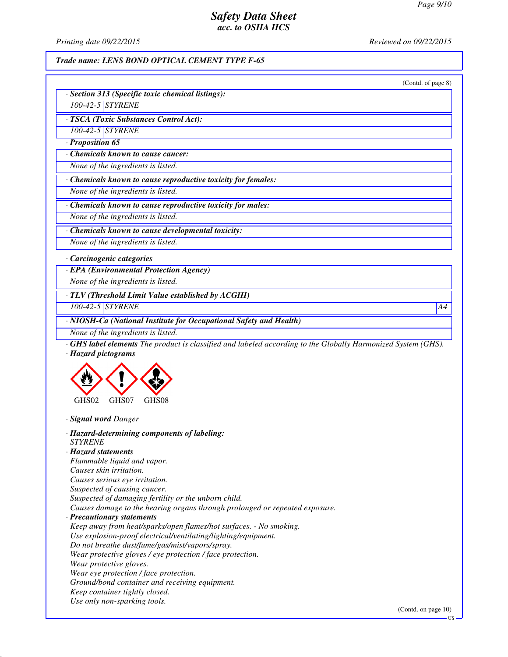*Printing date 09/22/2015 Reviewed on 09/22/2015*

#### *Trade name: LENS BOND OPTICAL CEMENT TYPE F-65*

| (Contd. of page 8)                                                                                                                        |
|-------------------------------------------------------------------------------------------------------------------------------------------|
| · Section 313 (Specific toxic chemical listings):                                                                                         |
| 100-42-5 STYRENE                                                                                                                          |
| · TSCA (Toxic Substances Control Act):                                                                                                    |
| 100-42-5 STYRENE                                                                                                                          |
| · Proposition 65                                                                                                                          |
| Chemicals known to cause cancer:                                                                                                          |
| None of the ingredients is listed.                                                                                                        |
| · Chemicals known to cause reproductive toxicity for females:                                                                             |
| None of the ingredients is listed.                                                                                                        |
| · Chemicals known to cause reproductive toxicity for males:                                                                               |
| None of the ingredients is listed.                                                                                                        |
| Chemicals known to cause developmental toxicity:                                                                                          |
| None of the ingredients is listed.                                                                                                        |
| · Carcinogenic categories                                                                                                                 |
| · EPA (Environmental Protection Agency)                                                                                                   |
| None of the ingredients is listed.                                                                                                        |
| · TLV (Threshold Limit Value established by ACGIH)                                                                                        |
| 100-42-5 STYRENE<br>A4                                                                                                                    |
| · NIOSH-Ca (National Institute for Occupational Safety and Health)                                                                        |
| None of the ingredients is listed.                                                                                                        |
| <b>GHS label elements</b> The product is classified and labeled according to the Globally Harmonized System (GHS).<br>· Hazard pictograms |
|                                                                                                                                           |
| GHS08<br>GHS <sub>02</sub><br>GHS07                                                                                                       |
| · Signal word Danger                                                                                                                      |

*· Hazard-determining components of labeling: STYRENE · Hazard statements Flammable liquid and vapor. Causes skin irritation. Causes serious eye irritation. Suspected of causing cancer. Suspected of damaging fertility or the unborn child. Causes damage to the hearing organs through prolonged or repeated exposure. · Precautionary statements Keep away from heat/sparks/open flames/hot surfaces. - No smoking. Use explosion-proof electrical/ventilating/lighting/equipment. Do not breathe dust/fume/gas/mist/vapors/spray. Wear protective gloves / eye protection / face protection. Wear protective gloves. Wear eye protection / face protection. Ground/bond container and receiving equipment. Keep container tightly closed.*

*Use only non-sparking tools.*

US